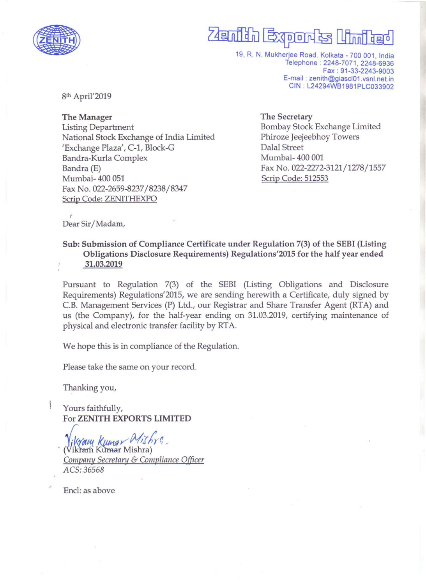

## Zenith Exports

19, R. N. Mukherjee Road, Kolkata -700 001, India Telephone: 2248-7071, 2248-6936 Fax : 91-33-2243-9003 E-mail : zenith@giascI01 .vsnl.netin CIN : L24294WB1981PLC033902

8th April'2019

The Manager Listing Department National Stock Exchange of India Limited 'Exchange Plaza', C-1, Block-G Bandra-Kurla Complex Bandra (E) Mumbai- 400 051 Fax No. 022-2659-8237/8238/8347 Scrip Code: ZENITHEXPO

The Secretary Bombay Stock Exchange Limited Phiroze Jeejeebhoy Towers Dalal Street Mumbai- 400 001 Fax No. 022-2272-3121/1278/1557 Scrip Code: 512553

, Dear Sir/Madam,

Sub: Submission of Compliance Certificate under Regulation 7(3) of the SEBI (Listing Obligations Disclosure Requirements) Regulations'2015 for the half year ended 31.03.2019

Pursuant to Regulation 7(3) of the SEBI (Listing Obligations and Disclosure Requirements) Regulations'2015, we are sending herewith a Certificate, duly signed by C.B. Management Services (P) Ltd., our Registrar and Share Transfer Agent (RTA) and us (the Company), for the half-year ending on 31.03.2019, certifying maintenance of physical and electronic transfer facility by RT A.

We hope this is in compliance of the Regulation,

Please take the same on your record.

Thanking you,

Yours faithfully, For ZENITH EXPORTS LIMITED

*likyang Kumg / Mish*<br>(Vikram Kumar Mishra) *Company Secretary & Compliance Officer* ACS:36568

Encl: as above